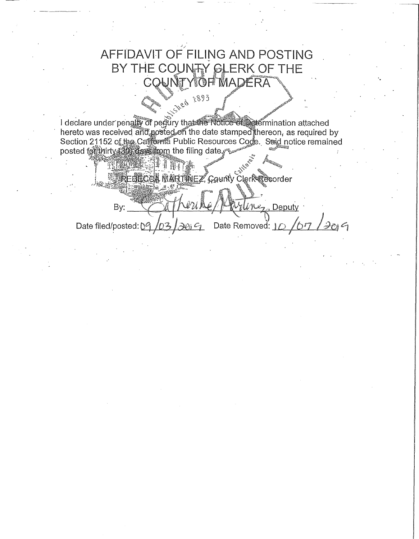## AFFIDAVIT OF FILING AND POSTING BY THE COUNTY GLERK OF THE COUNTYOF MADERA 1893 LB93

I declare under penalty of pegury that the Notice of Determination attached hereto was received and posted on the date stamped thereon, as required by Section 21152 of the California Public Resources Code. Said notice remained<br>posted for thirty said posted for the date and the filing date.

WART SEZ, County Clerk Recorder **REBECCA** 

 $\ell_{\gamma}$ , Deputy Bv

 $\subset$ 

Date filed/posted: Date Removed:  $\mathcal{D}$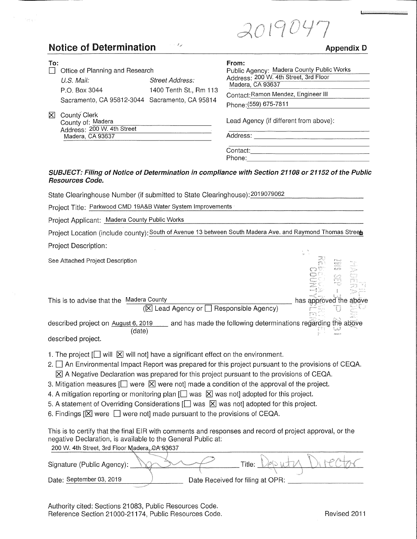# 2019047

### Notice of **Determination**

iya s

#### Appendix D

 $\begin{picture}(120,15) \put(0,0){\line(1,0){155}} \put(15,0){\line(1,0){155}} \put(15,0){\line(1,0){155}} \put(15,0){\line(1,0){155}} \put(15,0){\line(1,0){155}} \put(15,0){\line(1,0){155}} \put(15,0){\line(1,0){155}} \put(15,0){\line(1,0){155}} \put(15,0){\line(1,0){155}} \put(15,0){\line(1,0){155}} \put(15,0){\line(1,0){155}}$ 

 $\begin{array}{c} \mathcal{L}_{\text{max}}(\mathcal{L})\\ \mathcal{L}_{\text{max}}(\mathcal{L})\\ \mathcal{L}_{\text{max}}(\mathcal{L})\\ \mathcal{L}_{\text{max}}(\mathcal{L})\\ \mathcal{L}_{\text{max}}(\mathcal{L})\\ \mathcal{L}_{\text{max}}(\mathcal{L})\end{array}$ 

| To:      |                                                                                     |                                           | From:                                                                                              |  |  |
|----------|-------------------------------------------------------------------------------------|-------------------------------------------|----------------------------------------------------------------------------------------------------|--|--|
|          | Office of Planning and Research                                                     |                                           | Public Agency: Madera County Public Works                                                          |  |  |
|          | $U.S.$ Mail:<br>P.O. Box 3044                                                       | Street Address:<br>1400 Tenth St., Rm 113 | Address: 200 W. 4th Street, 3rd Floor<br>Madera, CA 93637<br>Contact: Ramon Mendez, Engineer III   |  |  |
|          | Sacramento, CA 95812-3044 Sacramento, CA 95814                                      |                                           |                                                                                                    |  |  |
|          |                                                                                     |                                           | Phone: (559) 675-7811                                                                              |  |  |
| $\times$ | County Clerk<br>County of: Madera<br>Address: 200 W. 4th Street<br>Madera, CA 93637 |                                           | Lead Agency (if different from above):<br>Address:                                                 |  |  |
|          |                                                                                     |                                           | Contact:<br>Phone:                                                                                 |  |  |
|          | <b>Resources Code.</b>                                                              |                                           | SUBJECT: Filing of Notice of Determination in compliance with Section 21108 or 21152 of the Public |  |  |
|          |                                                                                     |                                           |                                                                                                    |  |  |

State Clearinghouse Number (if submitted to State Clearinghouse): 2019079062

وألاباء

Project Title: Parkwood CMD 19A&B Water System Improvements

Project Applicant: Madera County Public Works

Project Location (include county): South of Avenue 13 between South Madera Ave. and Raymond Thomas Street Project Description:

See Attached Project Description

|                                                                                                                | CC                     | 131 <sub>mm</sub> |
|----------------------------------------------------------------------------------------------------------------|------------------------|-------------------|
| Madera County<br>This is to advise that the                                                                    | has approved the above |                   |
| $(\overline{X}]$ Lead Agency or $\Box$ Responsible Agency)                                                     |                        |                   |
| and has made the following determinations regarding the above<br>described project on August 6, 2019<br>(date) |                        |                   |
| described project.                                                                                             |                        |                   |
| 1. The project $\Box$ will $\boxtimes$ will not] have a significant effect on the environment.                 |                        |                   |

- 2.  $\Box$  An Environmental Impact Report was prepared for this project pursuant to the provisions of CEQA.  $\overline{\boxtimes}$  A Negative Declaration was prepared for this project pursuant to the provisions of CEQA.
- 3. Mitigation measures  $\Box$  were  $\boxtimes$  were not] made a condition of the approval of the project.
- 4. A mitigation reporting or monitoring plan  $\Box$  was  $\boxtimes$  was not] adopted for this project.
- 5. A statement of Overriding Considerations  $[\Box]$  was  $[\times]$  was not] adopted for this project.
- 6. Findings  $[\boxtimes]$  were  $[\Box]$  were not] made pursuant to the provisions of CEQA.

This is to certify that the final EIR with comments and responses and record of project approval, or the negative Declaration, is available to the General Public at:

| 200 W. 4th Street, 3rd Floor Madera, CA 93637 |  |
|-----------------------------------------------|--|
|                                               |  |

| Signature (Public Agency): |                                  | Title: |  |
|----------------------------|----------------------------------|--------|--|
| Date: September 03, 2019   | Date Received for filing at OPR: |        |  |

Authority cited: Sections 21083, Public Resources Code. Reference Section 21000-21174, Public Resources Code. The resources Code Revised 2011